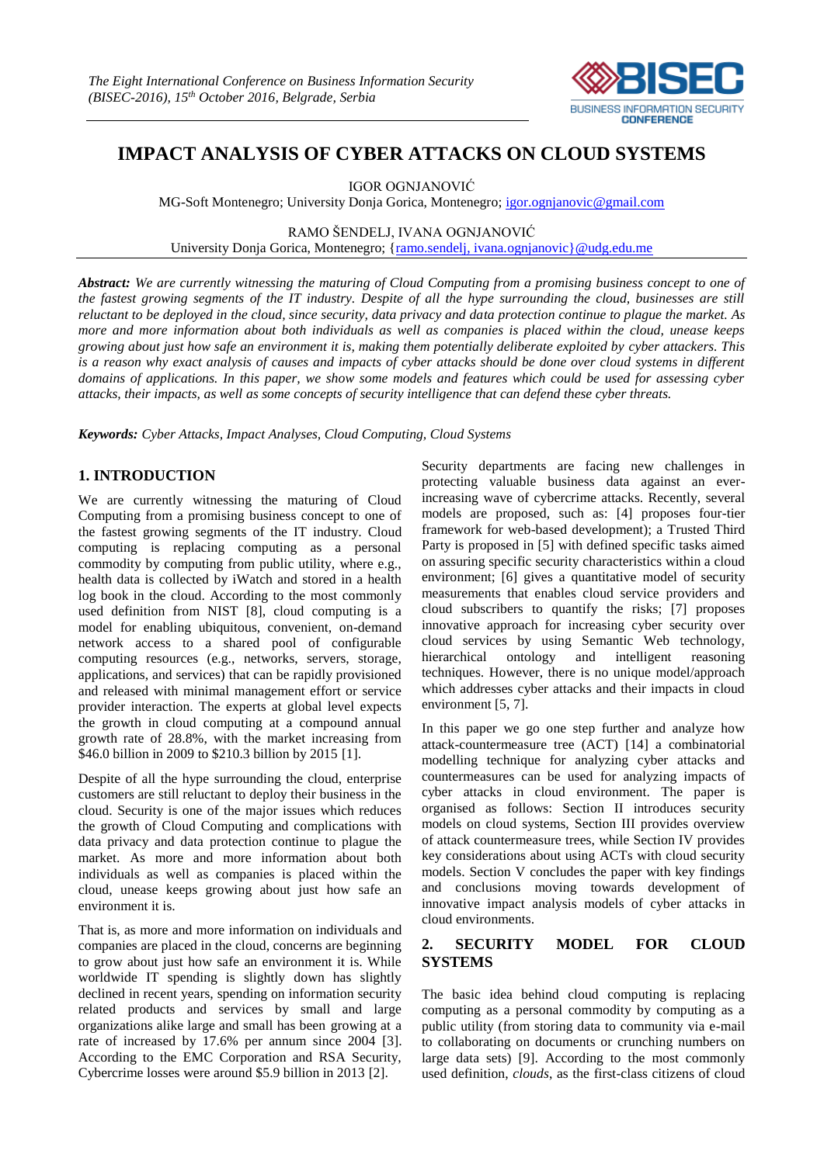

# **IMPACT ANALYSIS OF CYBER ATTACKS ON CLOUD SYSTEMS**

IGOR OGNJANOVIĆ

MG-Soft Montenegro; University Donja Gorica, Montenegro; [igor.ognjanovic@gmail.com](mailto:igor.ognjanovic@gmail.com)

RAMO ŠENDELJ, IVANA OGNJANOVIĆ University Donja Gorica, Montenegro; [{ramo.sendelj, ivana.ognjanovic}@udg.edu.me](mailto:ramo.sendelj,%20ivana.gnjanovic%7d@udg.edu.me)

*Abstract: We are currently witnessing the maturing of Cloud Computing from a promising business concept to one of the fastest growing segments of the IT industry. Despite of all the hype surrounding the cloud, businesses are still reluctant to be deployed in the cloud, since security, data privacy and data protection continue to plague the market. As more and more information about both individuals as well as companies is placed within the cloud, unease keeps growing about just how safe an environment it is, making them potentially deliberate exploited by cyber attackers. This is a reason why exact analysis of causes and impacts of cyber attacks should be done over cloud systems in different domains of applications. In this paper, we show some models and features which could be used for assessing cyber attacks, their impacts, as well as some concepts of security intelligence that can defend these cyber threats.*

*Keywords: Cyber Attacks, Impact Analyses, Cloud Computing, Cloud Systems*

# **1. INTRODUCTION**

We are currently witnessing the maturing of Cloud Computing from a promising business concept to one of the fastest growing segments of the IT industry. Cloud computing is replacing computing as a personal commodity by computing from public utility, where e.g., health data is collected by iWatch and stored in a health log book in the cloud. According to the most commonly used definition from NIST [8], cloud computing is a model for enabling ubiquitous, convenient, on-demand network access to a shared pool of configurable computing resources (e.g., networks, servers, storage, applications, and services) that can be rapidly provisioned and released with minimal management effort or service provider interaction. The experts at global level expects the growth in cloud computing at a compound annual growth rate of 28.8%, with the market increasing from \$46.0 billion in 2009 to \$210.3 billion by 2015 [1].

Despite of all the hype surrounding the cloud, enterprise customers are still reluctant to deploy their business in the cloud. Security is one of the major issues which reduces the growth of Cloud Computing and complications with data privacy and data protection continue to plague the market. As more and more information about both individuals as well as companies is placed within the cloud, unease keeps growing about just how safe an environment it is.

That is, as more and more information on individuals and companies are placed in the cloud, concerns are beginning to grow about just how safe an environment it is. While worldwide IT spending is slightly down has slightly declined in recent years, spending on information security related products and services by small and large organizations alike large and small has been growing at a rate of increased by 17.6% per annum since 2004 [3]. According to the EMC Corporation and RSA Security, Cybercrime losses were around \$5.9 billion in 2013 [2].

Security departments are facing new challenges in protecting valuable business data against an everincreasing wave of cybercrime attacks. Recently, several models are proposed, such as: [4] proposes four-tier framework for web-based development); a Trusted Third Party is proposed in [5] with defined specific tasks aimed on assuring specific security characteristics within a cloud environment; [6] gives a quantitative model of security measurements that enables cloud service providers and cloud subscribers to quantify the risks; [7] proposes innovative approach for increasing cyber security over cloud services by using Semantic Web technology, hierarchical ontology and intelligent reasoning techniques. However, there is no unique model/approach which addresses cyber attacks and their impacts in cloud environment [5, 7].

In this paper we go one step further and analyze how attack-countermeasure tree (ACT) [14] a combinatorial modelling technique for analyzing cyber attacks and countermeasures can be used for analyzing impacts of cyber attacks in cloud environment. The paper is organised as follows: Section II introduces security models on cloud systems, Section III provides overview of attack countermeasure trees, while Section IV provides key considerations about using ACTs with cloud security models. Section V concludes the paper with key findings and conclusions moving towards development of innovative impact analysis models of cyber attacks in cloud environments.

# **2. SECURITY MODEL FOR CLOUD SYSTEMS**

The basic idea behind cloud computing is replacing computing as a personal commodity by computing as a public utility (from storing data to community via e-mail to collaborating on documents or crunching numbers on large data sets) [9]. According to the most commonly used definition, *clouds*, as the first-class citizens of cloud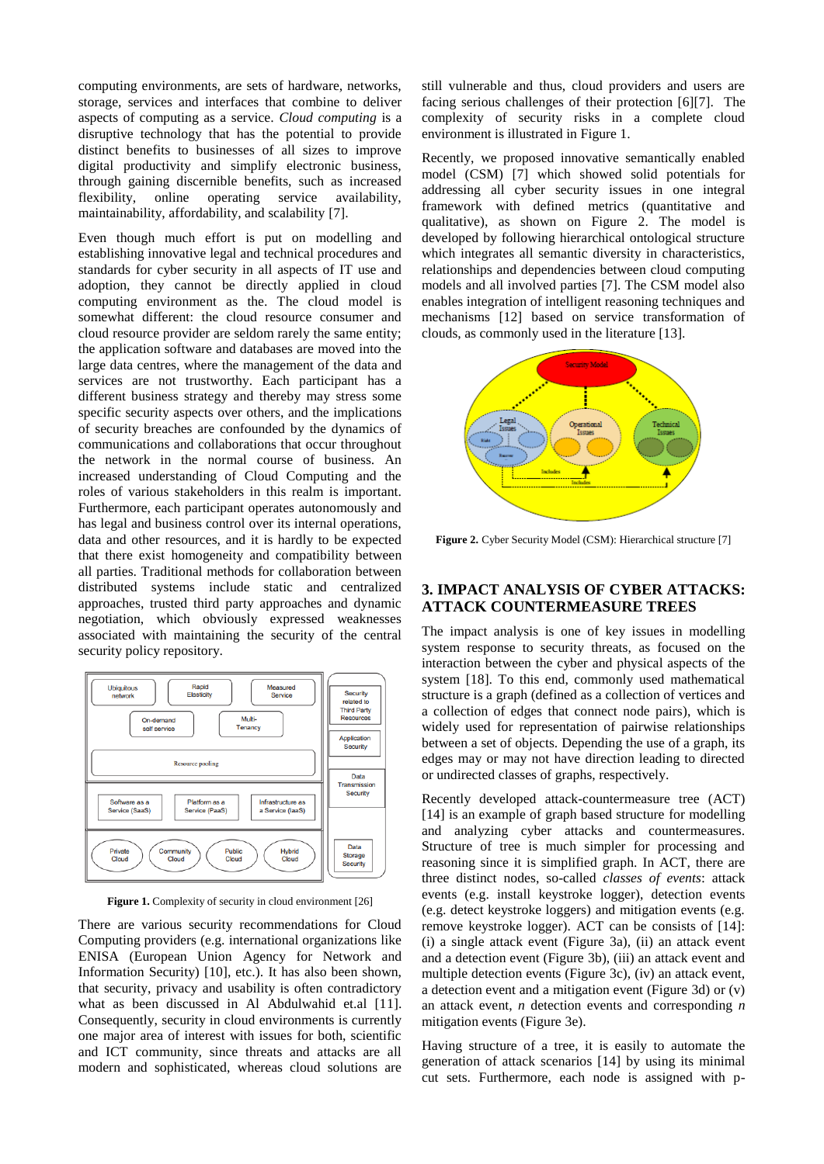computing environments, are sets of hardware, networks, storage, services and interfaces that combine to deliver aspects of computing as a service. *Cloud computing* is a disruptive technology that has the potential to provide distinct benefits to businesses of all sizes to improve digital productivity and simplify electronic business, through gaining discernible benefits, such as increased flexibility, online operating service availability, maintainability, affordability, and scalability [7].

Even though much effort is put on modelling and establishing innovative legal and technical procedures and standards for cyber security in all aspects of IT use and adoption, they cannot be directly applied in cloud computing environment as the. The cloud model is somewhat different: the cloud resource consumer and cloud resource provider are seldom rarely the same entity; the application software and databases are moved into the large data centres, where the management of the data and services are not trustworthy. Each participant has a different business strategy and thereby may stress some specific security aspects over others, and the implications of security breaches are confounded by the dynamics of communications and collaborations that occur throughout the network in the normal course of business. An increased understanding of Cloud Computing and the roles of various stakeholders in this realm is important. Furthermore, each participant operates autonomously and has legal and business control over its internal operations, data and other resources, and it is hardly to be expected that there exist homogeneity and compatibility between all parties. Traditional methods for collaboration between distributed systems include static and centralized approaches, trusted third party approaches and dynamic negotiation, which obviously expressed weaknesses associated with maintaining the security of the central security policy repository.



**Figure 1.** Complexity of security in cloud environment [26]

There are various security recommendations for Cloud Computing providers (e.g. international organizations like ENISA (European Union Agency for Network and Information Security) [10], etc.). It has also been shown, that security, privacy and usability is often contradictory what as been discussed in Al Abdulwahid et.al [11]. Consequently, security in cloud environments is currently one major area of interest with issues for both, scientific and ICT community, since threats and attacks are all modern and sophisticated, whereas cloud solutions are still vulnerable and thus, cloud providers and users are facing serious challenges of their protection [6][7]. The complexity of security risks in a complete cloud environment is illustrated in Figure 1.

Recently, we proposed innovative semantically enabled model (CSM) [7] which showed solid potentials for addressing all cyber security issues in one integral framework with defined metrics (quantitative and qualitative), as shown on Figure 2. The model is developed by following hierarchical ontological structure which integrates all semantic diversity in characteristics, relationships and dependencies between cloud computing models and all involved parties [7]. The CSM model also enables integration of intelligent reasoning techniques and mechanisms [12] based on service transformation of clouds, as commonly used in the literature [13].



**Figure 2.** Cyber Security Model (CSM): Hierarchical structure [7]

#### **3. IMPACT ANALYSIS OF CYBER ATTACKS: ATTACK COUNTERMEASURE TREES**

The impact analysis is one of key issues in modelling system response to security threats, as focused on the interaction between the cyber and physical aspects of the system [18]. To this end, commonly used mathematical structure is a graph (defined as a collection of vertices and a collection of edges that connect node pairs), which is widely used for representation of pairwise relationships between a set of objects. Depending the use of a graph, its edges may or may not have direction leading to directed or undirected classes of graphs, respectively.

Recently developed attack-countermeasure tree (ACT) [14] is an example of graph based structure for modelling and analyzing cyber attacks and countermeasures. Structure of tree is much simpler for processing and reasoning since it is simplified graph. In ACT, there are three distinct nodes, so-called *classes of events*: attack events (e.g. install keystroke logger), detection events (e.g. detect keystroke loggers) and mitigation events (e.g. remove keystroke logger). ACT can be consists of [14]: (i) a single attack event (Figure 3a), (ii) an attack event and a detection event (Figure 3b), (iii) an attack event and multiple detection events (Figure 3c), (iv) an attack event, a detection event and a mitigation event (Figure 3d) or (v) an attack event, *n* detection events and corresponding *n* mitigation events (Figure 3e).

Having structure of a tree, it is easily to automate the generation of attack scenarios [14] by using its minimal cut sets. Furthermore, each node is assigned with p-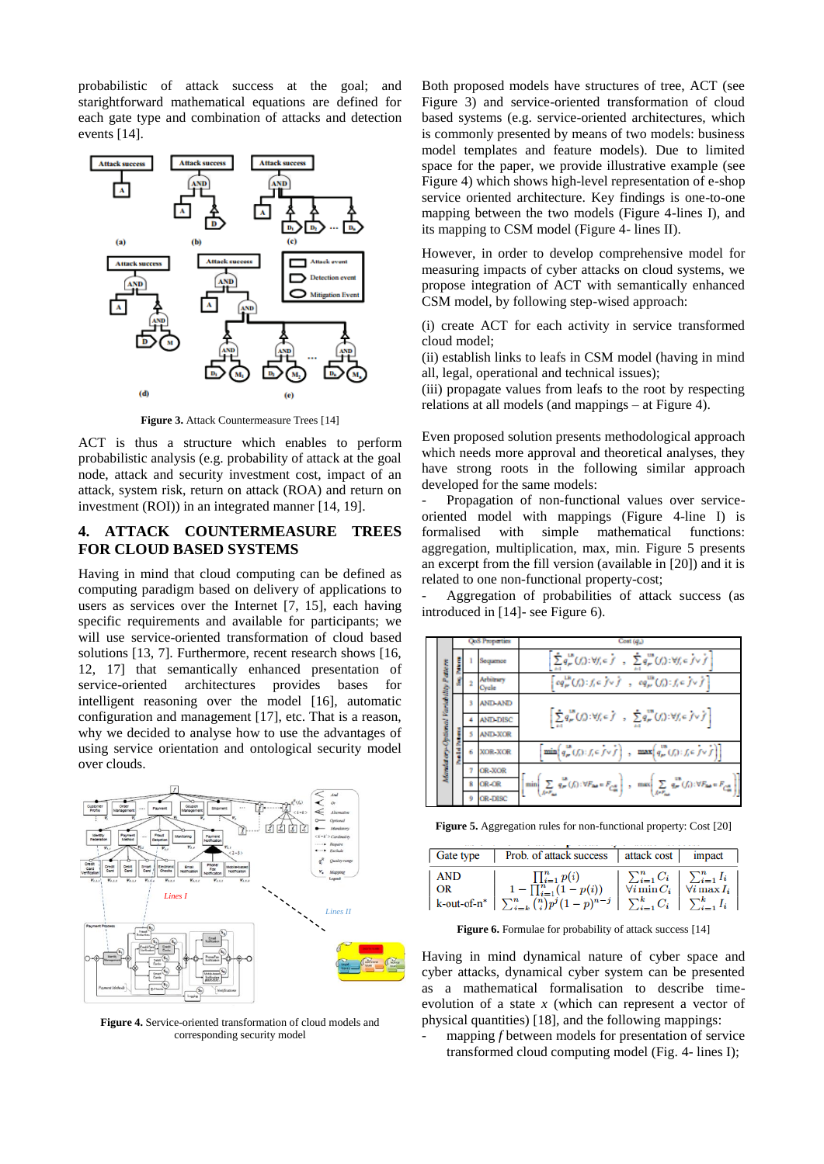probabilistic of attack success at the goal; and starightforward mathematical equations are defined for each gate type and combination of attacks and detection events [14].



**Figure 3.** Attack Countermeasure Trees [14]

ACT is thus a structure which enables to perform probabilistic analysis (e.g. probability of attack at the goal node, attack and security investment cost, impact of an attack, system risk, return on attack (ROA) and return on investment (ROI)) in an integrated manner [14, 19].

### **4. ATTACK COUNTERMEASURE TREES FOR CLOUD BASED SYSTEMS**

Having in mind that cloud computing can be defined as computing paradigm based on delivery of applications to users as services over the Internet [7, 15], each having specific requirements and available for participants; we will use service-oriented transformation of cloud based solutions [13, 7]. Furthermore, recent research shows [16, 12, 17] that semantically enhanced presentation of service-oriented architectures provides bases for intelligent reasoning over the model [16], automatic configuration and management [17], etc. That is a reason, why we decided to analyse how to use the advantages of using service orientation and ontological security model over clouds.



**Figure 4.** Service-oriented transformation of cloud models and corresponding security model

Both proposed models have structures of tree, ACT (see Figure 3) and service-oriented transformation of cloud based systems (e.g. service-oriented architectures, which is commonly presented by means of two models: business model templates and feature models). Due to limited space for the paper, we provide illustrative example (see Figure 4) which shows high-level representation of e-shop service oriented architecture. Key findings is one-to-one mapping between the two models (Figure 4-lines I), and its mapping to CSM model (Figure 4- lines II).

However, in order to develop comprehensive model for measuring impacts of cyber attacks on cloud systems, we propose integration of ACT with semantically enhanced CSM model, by following step-wised approach:

(i) create ACT for each activity in service transformed cloud model;

(ii) establish links to leafs in CSM model (having in mind all, legal, operational and technical issues);

(iii) propagate values from leafs to the root by respecting relations at all models (and mappings – at Figure 4).

Even proposed solution presents methodological approach which needs more approval and theoretical analyses, they have strong roots in the following similar approach developed for the same models:

Propagation of non-functional values over serviceoriented model with mappings (Figure 4-line I) is formalised with simple mathematical functions: aggregation, multiplication, max, min. Figure 5 presents an excerpt from the fill version (available in [20]) and it is related to one non-functional property-cost;

- Aggregation of probabilities of attack success (as introduced in [14]- see Figure 6).



**Figure 5.** Aggregation rules for non-functional property: Cost [20]

| <b>Gate type</b> | Prob. of attack success   attack cost                                                                                                                            |                                                                                                                     | impact               |
|------------------|------------------------------------------------------------------------------------------------------------------------------------------------------------------|---------------------------------------------------------------------------------------------------------------------|----------------------|
| <b>AND</b><br>OR | $\prod_{i=1}^n p(i)$<br>$1 - \prod_{i=1}^{n} (1 - p(i))$<br>k-out-of-n* $\sum_{i=k}^{n} {n \choose i} p^i (1-p)^{n-j}$ $\sum_{i=1}^{k} C_i$ $\sum_{i=1}^{k} I_i$ | $\begin{array}{c c} \sum_{i=1}^{n} C_i & \sum_{i=1}^{n} I_i \\ \forall i \min C_i & \forall i \max I_i \end{array}$ | $\forall i \max I_i$ |

**Figure 6.** Formulae for probability of attack success [14]

Having in mind dynamical nature of cyber space and cyber attacks, dynamical cyber system can be presented as a mathematical formalisation to describe timeevolution of a state *x* (which can represent a vector of physical quantities) [18], and the following mappings:

mapping *f* between models for presentation of service transformed cloud computing model (Fig. 4- lines I);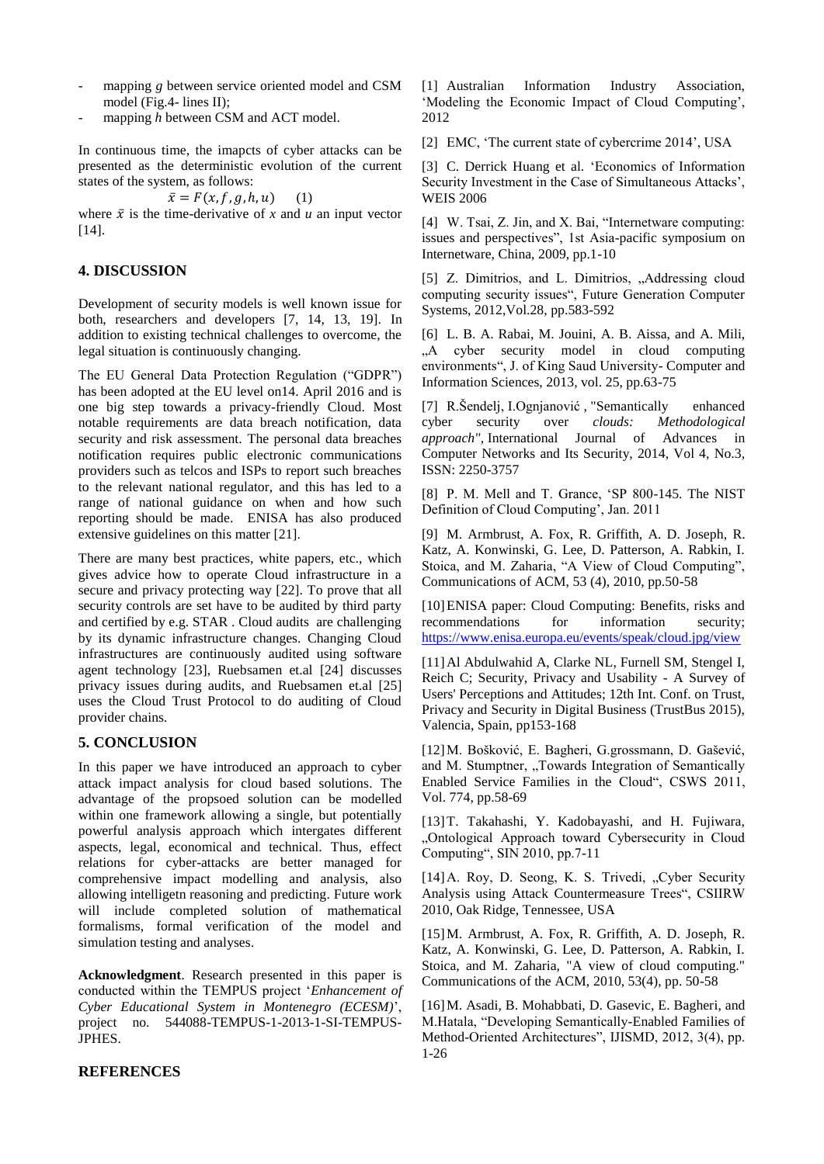- mapping *g* between service oriented model and CSM model (Fig.4- lines II);
- mapping *h* between CSM and ACT model.

In continuous time, the imapcts of cyber attacks can be presented as the deterministic evolution of the current states of the system, as follows:

 $\bar{x} = F(x, f, g, h, u)$  (1)

where  $\bar{x}$  is the time-derivative of *x* and *u* an input vector [14].

#### **4. DISCUSSION**

Development of security models is well known issue for both, researchers and developers [7, 14, 13, 19]. In addition to existing technical challenges to overcome, the legal situation is continuously changing.

The EU General Data Protection Regulation ("GDPR") has been adopted at the EU level on14. April 2016 and is one big step towards a privacy-friendly Cloud. Most notable requirements are data breach notification, data security and risk assessment. The personal data breaches notification requires public electronic communications providers such as telcos and ISPs to report such breaches to the relevant national regulator, and this has led to a range of national guidance on when and how such reporting should be made. ENISA has also produced extensive guidelines on this matter [21].

There are many best practices, white papers, etc., which gives advice how to operate Cloud infrastructure in a secure and privacy protecting way [22]. To prove that all security controls are set have to be audited by third party and certified by e.g. STAR . Cloud audits are challenging by its dynamic infrastructure changes. Changing Cloud infrastructures are continuously audited using software agent technology [23], Ruebsamen et.al [24] discusses privacy issues during audits, and Ruebsamen et.al [25] uses the Cloud Trust Protocol to do auditing of Cloud provider chains.

# **5. CONCLUSION**

In this paper we have introduced an approach to cyber attack impact analysis for cloud based solutions. The advantage of the propsoed solution can be modelled within one framework allowing a single, but potentially powerful analysis approach which intergates different aspects, legal, economical and technical. Thus, effect relations for cyber-attacks are better managed for comprehensive impact modelling and analysis, also allowing intelligetn reasoning and predicting. Future work will include completed solution of mathematical formalisms, formal verification of the model and simulation testing and analyses.

**Acknowledgment**. Research presented in this paper is conducted within the TEMPUS project '*Enhancement of Cyber Educational System in Montenegro (ECESM)*', project no. 544088-TEMPUS-1-2013-1-SI-TEMPUS-JPHES.

[1] Australian Information Industry Association, 'Modeling the Economic Impact of Cloud Computing', 2012

[2] EMC, 'The current state of cybercrime 2014', USA

[3] C. Derrick Huang et al. 'Economics of Information Security Investment in the Case of Simultaneous Attacks', WEIS 2006

[4] W. Tsai, Z. Jin, and X. Bai, "Internetware computing: issues and perspectives", 1st Asia-pacific symposium on Internetware, China, 2009, pp.1-10

[5] Z. Dimitrios, and L. Dimitrios, "Addressing cloud computing security issues", Future Generation Computer Systems, 2012,Vol.28, pp.583-592

[6] L. B. A. Rabai, M. Jouini, A. B. Aissa, and A. Mili, , A cyber security model in cloud computing environments", J. of King Saud University- Computer and Information Sciences, 2013, vol. 25, pp.63-75

[7] R.Šendelj, I.Ognjanović , "Semantically enhanced cyber security over *clouds: Methodological approach",* International Journal of Advances in Computer Networks and Its Security, 2014, Vol 4, No.3, ISSN: 2250-3757

[8] P. M. Mell and T. Grance, 'SP 800-145. The NIST Definition of Cloud Computing', Jan. 2011

[9] M. Armbrust, A. Fox, R. Griffith, A. D. Joseph, R. Katz, A. Konwinski, G. Lee, D. Patterson, A. Rabkin, I. Stoica, and M. Zaharia, "A View of Cloud Computing", Communications of ACM, 53 (4), 2010, pp.50-58

[10]ENISA paper: Cloud Computing: Benefits, risks and recommendations for information security; <https://www.enisa.europa.eu/events/speak/cloud.jpg/view>

[11]Al Abdulwahid A, Clarke NL, Furnell SM, Stengel I, Reich C; Security, Privacy and Usability - A Survey of Users' Perceptions and Attitudes; 12th Int. Conf. on Trust, Privacy and Security in Digital Business (TrustBus 2015), Valencia, Spain, pp153-168

[12]M. Bošković, E. Bagheri, G.grossmann, D. Gašević, and M. Stumptner, "Towards Integration of Semantically Enabled Service Families in the Cloud", CSWS 2011, Vol. 774, pp.58-69

[13]T. Takahashi, Y. Kadobayashi, and H. Fujiwara, "Ontological Approach toward Cybersecurity in Cloud Computing", SIN 2010, pp.7-11

[14] A. Roy, D. Seong, K. S. Trivedi, "Cyber Security Analysis using Attack Countermeasure Trees", CSIIRW 2010, Oak Ridge, Tennessee, USA

[15]M. Armbrust, A. Fox, R. Griffith, A. D. Joseph, R. Katz, A. Konwinski, G. Lee, D. Patterson, A. Rabkin, I. Stoica, and M. Zaharia, "A view of cloud computing." Communications of the ACM, 2010, 53(4), pp. 50-58

[16]M. Asadi, B. Mohabbati, D. Gasevic, E. Bagheri, and M.Hatala, "Developing Semantically-Enabled Families of Method-Oriented Architectures", IJISMD, 2012, 3(4), pp. 1-26

#### **REFERENCES**